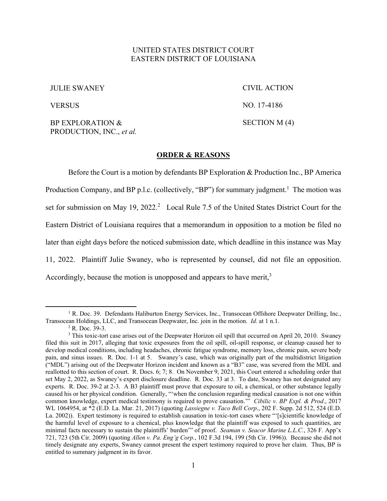## UNITED STATES DISTRICT COURT EASTERN DISTRICT OF LOUISIANA

JULIE SWANEY

CIVIL ACTION

**VERSUS** 

NO. 17-4186 SECTION M (4)

BP EXPLORATION & PRODUCTION, INC., *et al.* 

## **ORDER & REASONS**

Before the Court is a motion by defendants BP Exploration & Production Inc., BP America Production Company, and BP p.l.c. (collectively, "BP") for summary judgment.<sup>1</sup> The motion was set for submission on May 19, 2022.<sup>2</sup> Local Rule 7.5 of the United States District Court for the Eastern District of Louisiana requires that a memorandum in opposition to a motion be filed no later than eight days before the noticed submission date, which deadline in this instance was May 11, 2022. Plaintiff Julie Swaney, who is represented by counsel, did not file an opposition. Accordingly, because the motion is unopposed and appears to have merit, $3$ 

<sup>&</sup>lt;sup>1</sup> R. Doc. 39. Defendants Haliburton Energy Services, Inc., Transocean Offshore Deepwater Drilling, Inc., Transocean Holdings, LLC, and Transocean Deepwater, Inc. join in the motion. *Id.* at 1 n.1. 2

 $2$  R. Doc. 39-3.

<sup>&</sup>lt;sup>3</sup> This toxic-tort case arises out of the Deepwater Horizon oil spill that occurred on April 20, 2010. Swaney filed this suit in 2017, alleging that toxic exposures from the oil spill, oil-spill response, or cleanup caused her to develop medical conditions, including headaches, chronic fatigue syndrome, memory loss, chronic pain, severe body pain, and sinus issues. R. Doc. 1-1 at 5. Swaney's case, which was originally part of the multidistrict litigation ("MDL") arising out of the Deepwater Horizon incident and known as a "B3" case, was severed from the MDL and reallotted to this section of court. R. Docs. 6; 7; 8. On November 9, 2021, this Court entered a scheduling order that set May 2, 2022, as Swaney's expert disclosure deadline. R. Doc. 33 at 3. To date, Swaney has not designated any experts. R. Doc. 39-2 at 2-3. A B3 plaintiff must prove that exposure to oil, a chemical, or other substance legally caused his or her physical condition. Generally, "'when the conclusion regarding medical causation is not one within common knowledge, expert medical testimony is required to prove causation.'" *Cibilic v. BP Expl. & Prod*., 2017 WL 1064954, at \*2 (E.D. La. Mar. 21, 2017) (quoting *Lassiegne v. Taco Bell Corp*., 202 F. Supp. 2d 512, 524 (E.D. La. 2002)). Expert testimony is required to establish causation in toxic-tort cases where "'[s]cientific knowledge of the harmful level of exposure to a chemical, plus knowledge that the plaintiff was exposed to such quantities, are minimal facts necessary to sustain the plaintiffs' burden'" of proof. *Seaman v. Seacor Marine L.L.C.*, 326 F. App'x 721, 723 (5th Cir. 2009) (quoting *Allen v. Pa. Eng'g Corp.*, 102 F.3d 194, 199 (5th Cir. 1996)). Because she did not timely designate any experts, Swaney cannot present the expert testimony required to prove her claim. Thus, BP is entitled to summary judgment in its favor.